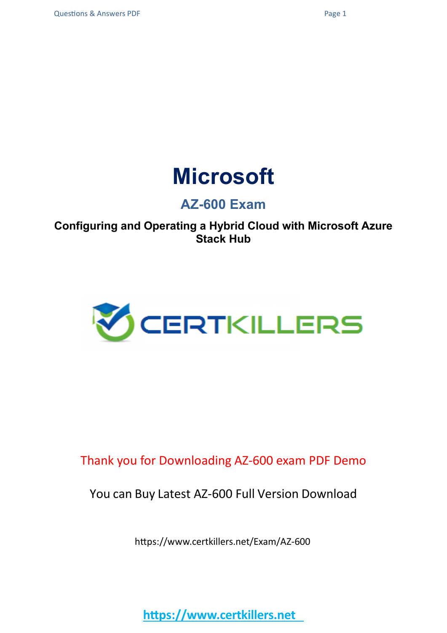

### **AZ-600 Exam**

**Configuring and Operating a Hybrid Cloud with Microsoft Azure Stack Hub**



Thank you for Downloading AZ-600 exam PDF Demo

You can Buy Latest AZ-600 Full Version Download

https://www.certkillers.net/Exam/AZ-600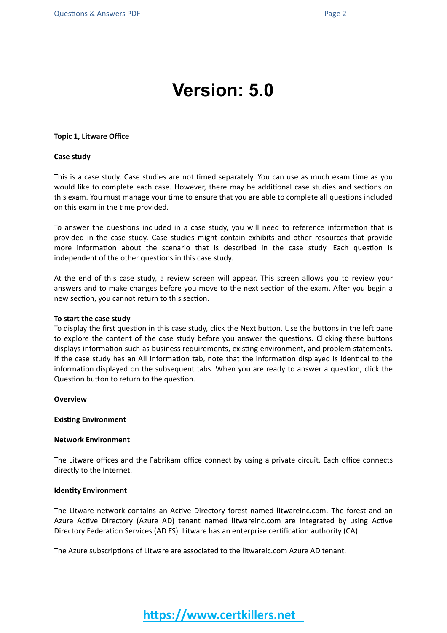## **Version: 5.0**

#### **Topic 1, Litware Office**

#### **Case study**

This is a case study. Case studies are not timed separately. You can use as much exam time as you would like to complete each case. However, there may be additional case studies and sections on this exam. You must manage your time to ensure that you are able to complete all questions included on this exam in the time provided.

To answer the questions included in a case study, you will need to reference information that is provided in the case study. Case studies might contain exhibits and other resources that provide more information about the scenario that is described in the case study. Each question is independent of the other questions in this case study.

At the end of this case study, a review screen will appear. This screen allows you to review your answers and to make changes before you move to the next section of the exam. After you begin a new section, you cannot return to this section.

#### **To start the case study**

To display the first question in this case study, click the Next button. Use the buttons in the left pane to explore the content of the case study before you answer the questions. Clicking these buttons displays information such as business requirements, existing environment, and problem statements. If the case study has an All Information tab, note that the information displayed is identical to the information displayed on the subsequent tabs. When you are ready to answer a question, click the Question button to return to the question.

**Overview**

#### **Existing Environment**

#### **Network Environment**

The Litware offices and the Fabrikam office connect by using a private circuit. Each office connects directly to the Internet.

#### **Identity Environment**

The Litware network contains an Active Directory forest named litwareinc.com. The forest and an Azure Active Directory (Azure AD) tenant named litwareinc.com are integrated by using Active Directory Federation Services (AD FS). Litware has an enterprise certification authority (CA).

The Azure subscriptions of Litware are associated to the litwareic.com Azure AD tenant.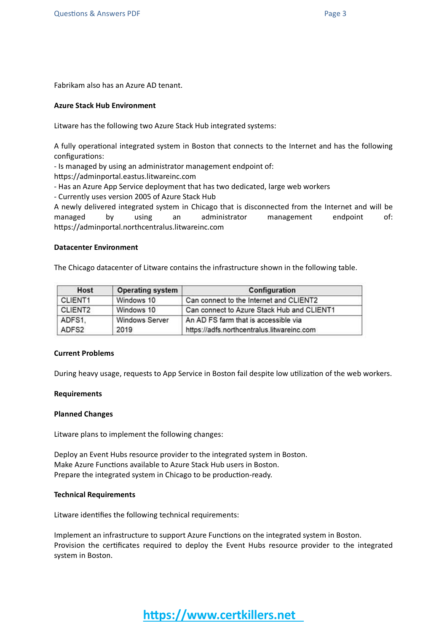Fabrikam also has an Azure AD tenant.

#### **Azure Stack Hub Environment**

Litware has the following two Azure Stack Hub integrated systems:

A fully operational integrated system in Boston that connects to the Internet and has the following configurations:

- Is managed by using an administrator management endpoint of:

https://adminportal.eastus.litwareinc.com

- Has an Azure App Service deployment that has two dedicated, large web workers

- Currently uses version 2005 of Azure Stack Hub

A newly delivered integrated system in Chicago that is disconnected from the Internet and will be managed by using an administrator management endpoint of: https://adminportal.northcentralus.litwareinc.com

#### **Datacenter Environment**

The Chicago datacenter of Litware contains the infrastructure shown in the following table.

| Host                | <b>Operating system</b>                                       | Configuration<br>Can connect to the Internet and CLIENT2 |  |
|---------------------|---------------------------------------------------------------|----------------------------------------------------------|--|
| CLIENT <sub>1</sub> | Windows 10                                                    |                                                          |  |
| CLIENT2             | Windows 10                                                    | Can connect to Azure Stack Hub and CLIENT1               |  |
| ADFS1.              | An AD FS farm that is accessible via<br><b>Windows Server</b> |                                                          |  |
| ADFS2               | 2019                                                          | https://adfs.northcentralus.litwareinc.com               |  |

#### **Current Problems**

During heavy usage, requests to App Service in Boston fail despite low utilization of the web workers.

#### **Requirements**

#### **Planned Changes**

Litware plans to implement the following changes:

Deploy an Event Hubs resource provider to the integrated system in Boston. Make Azure Functions available to Azure Stack Hub users in Boston. Prepare the integrated system in Chicago to be production-ready.

#### **Technical Requirements**

Litware identifies the following technical requirements:

Implement an infrastructure to support Azure Functions on the integrated system in Boston. Provision the certificates required to deploy the Event Hubs resource provider to the integrated system in Boston.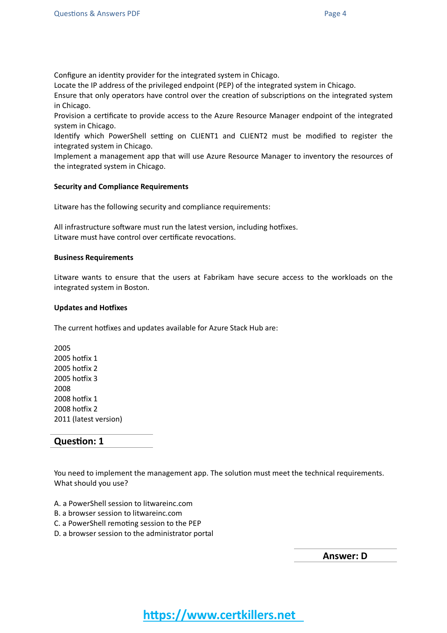Configure an identity provider for the integrated system in Chicago.

Locate the IP address of the privileged endpoint (PEP) of the integrated system in Chicago.

Ensure that only operators have control over the creation of subscriptions on the integrated system in Chicago.

Provision a certificate to provide access to the Azure Resource Manager endpoint of the integrated system in Chicago.

Identify which PowerShell setting on CLIENT1 and CLIENT2 must be modified to register the integrated system in Chicago.

Implement a management app that will use Azure Resource Manager to inventory the resources of the integrated system in Chicago.

#### **Security and Compliance Requirements**

Litware has the following security and compliance requirements:

All infrastructure software must run the latest version, including hotfixes. Litware must have control over certificate revocations.

#### **Business Requirements**

Litware wants to ensure that the users at Fabrikam have secure access to the workloads on the integrated system in Boston.

#### **Updates and Hotfixes**

The current hotfixes and updates available for Azure Stack Hub are:

**Question: 1**

You need to implement the management app. The solution must meet the technical requirements. What should you use?

- A. a PowerShell session to litwareinc.com
- B. a browser session to litwareinc.com
- C. a PowerShell remoting session to the PEP
- D. a browser session to the administrator portal

**Answer: D**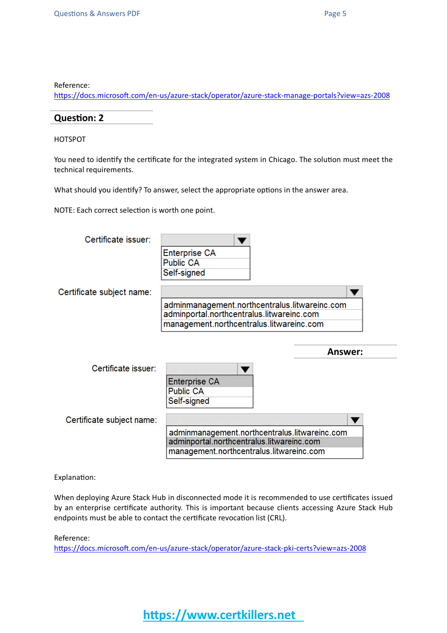Reference:

<https://docs.microsoft.com/en-us/azure-stack/operator/azure-stack-manage-portals?view=azs-2008>

#### **Question: 2**

HOTSPOT

You need to identify the certificate for the integrated system in Chicago. The solution must meet the technical requirements.

What should you identify? To answer, select the appropriate options in the answer area.

NOTE: Each correct selection is worth one point.

| Certificate issuer:       |                                                                                                                                        |         |
|---------------------------|----------------------------------------------------------------------------------------------------------------------------------------|---------|
|                           | <b>Enterprise CA</b>                                                                                                                   |         |
|                           | <b>Public CA</b>                                                                                                                       |         |
|                           | Self-signed                                                                                                                            |         |
| Certificate subject name: |                                                                                                                                        |         |
|                           | adminmanagement.northcentralus.litwareinc.com                                                                                          |         |
|                           | adminportal.northcentralus.litwareinc.com                                                                                              |         |
|                           | management.northcentralus.litwareinc.com                                                                                               |         |
|                           |                                                                                                                                        |         |
|                           |                                                                                                                                        |         |
|                           |                                                                                                                                        | Answer: |
| Certificate issuer:       |                                                                                                                                        |         |
|                           | <b>Enterprise CA</b>                                                                                                                   |         |
|                           | Public CA                                                                                                                              |         |
|                           | Self-signed                                                                                                                            |         |
| Certificate subject name: |                                                                                                                                        |         |
|                           | adminmanagement.northcentralus.litwareinc.com<br>adminportal.northcentralus.litwareinc.com<br>management.northcentralus.litwareinc.com |         |

Explanation:

When deploying Azure Stack Hub in disconnected mode it is recommended to use certificates issued by an enterprise certificate authority. This is important because clients accessing Azure Stack Hub endpoints must be able to contact the certificate revocation list (CRL).

Reference:

<https://docs.microsoft.com/en-us/azure-stack/operator/azure-stack-pki-certs?view=azs-2008>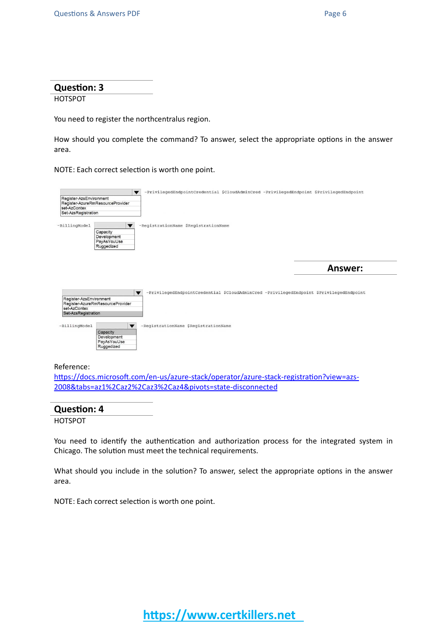#### **Question: 3**

#### **HOTSPOT**

You need to register the northcentralus region.

How should you complete the command? To answer, select the appropriate options in the answer area.

NOTE: Each correct selection is worth one point.

| Register-AzsEnvironment          | -PrivilegedEndpointCredential \$CloudAdminCred -PrivilegedEndpoint \$PrivilegedEndpoint                             |
|----------------------------------|---------------------------------------------------------------------------------------------------------------------|
| Register-AzureRmResourceProvider |                                                                                                                     |
| set-AzContex                     |                                                                                                                     |
| Set-AzsRegistration              |                                                                                                                     |
|                                  |                                                                                                                     |
| -BillingModel                    | -RegistrationName \$RegistrationName<br>$\blacktriangledown$                                                        |
| Capacity                         |                                                                                                                     |
| Development                      |                                                                                                                     |
| PavAsYouUse<br>Ruggedized        |                                                                                                                     |
|                                  |                                                                                                                     |
|                                  |                                                                                                                     |
|                                  |                                                                                                                     |
|                                  |                                                                                                                     |
|                                  |                                                                                                                     |
|                                  | Answer:                                                                                                             |
|                                  |                                                                                                                     |
|                                  |                                                                                                                     |
|                                  |                                                                                                                     |
|                                  | -PrivilegedEndpointCredential \$CloudAdminCred -PrivilegedEndpoint \$PrivilegedEndpoint<br>$\overline{\phantom{a}}$ |
| Register-AzsEnvironment          |                                                                                                                     |
| Register-AzureRmResourceProvider |                                                                                                                     |
| set-AzContex                     |                                                                                                                     |
| Set-AzsRegistration              |                                                                                                                     |
|                                  |                                                                                                                     |
|                                  |                                                                                                                     |
| -BillingModel                    | -RegistrationName \$RegistrationName<br>$\blacktriangledown$                                                        |
| Capacity                         |                                                                                                                     |
| Development                      |                                                                                                                     |
| PayAsYouUse<br>Ruggedized        |                                                                                                                     |

#### Reference:

[https://docs.microsoft.com/en-us/azure-stack/operator/azure-stack-registration?view=azs-](https://docs.microsoft.com/en-us/azure-stack/operator/azure-stack-registration?view=azs-2008&tabs=az1%2Caz2%2Caz3%2Caz4&pivots=state-disconnected)[2008&tabs=az1%2Caz2%2Caz3%2Caz4&pivots=state-disconnected](https://docs.microsoft.com/en-us/azure-stack/operator/azure-stack-registration?view=azs-2008&tabs=az1%2Caz2%2Caz3%2Caz4&pivots=state-disconnected)

#### **Question: 4**

HOTSPOT

You need to identify the authentication and authorization process for the integrated system in Chicago. The solution must meet the technical requirements.

What should you include in the solution? To answer, select the appropriate options in the answer area.

NOTE: Each correct selection is worth one point.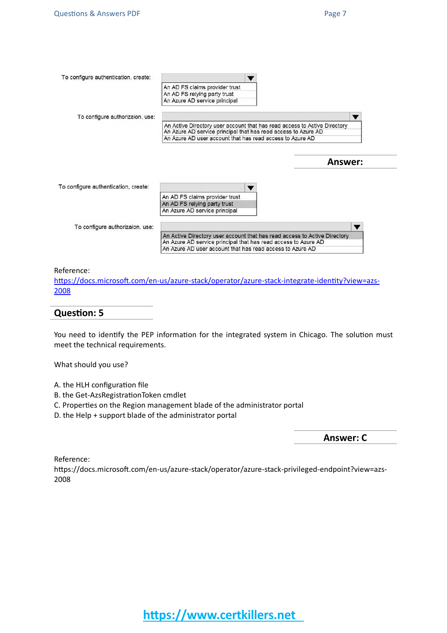| To configure authentication, create: |                                                                                                                                             |                |  |
|--------------------------------------|---------------------------------------------------------------------------------------------------------------------------------------------|----------------|--|
|                                      | An AD FS claims provider trust                                                                                                              |                |  |
|                                      | An AD FS relying party trust                                                                                                                |                |  |
|                                      | An Azure AD service principal                                                                                                               |                |  |
| To configure authorizaion, use:      |                                                                                                                                             |                |  |
|                                      | An Active Directory user account that has read access to Active Directory<br>An Azure AD service principal that has read access to Azure AD |                |  |
|                                      | An Azure AD user account that has read access to Azure AD                                                                                   |                |  |
|                                      |                                                                                                                                             |                |  |
|                                      |                                                                                                                                             |                |  |
|                                      |                                                                                                                                             | <b>Answer:</b> |  |
|                                      |                                                                                                                                             |                |  |
| To configure authentication, create: |                                                                                                                                             |                |  |
|                                      | An AD FS claims provider trust                                                                                                              |                |  |
|                                      | An AD FS relying party trust                                                                                                                |                |  |
|                                      | An Azure AD service principal                                                                                                               |                |  |
| To configure authorizaion, use:      |                                                                                                                                             |                |  |
|                                      | An Active Directory user account that has read access to Active Directory                                                                   |                |  |
|                                      | An Azure AD service principal that has read access to Azure AD                                                                              |                |  |
|                                      | An Azure AD user account that has read access to Azure AD                                                                                   |                |  |

Reference:

[https://docs.microsoft.com/en-us/azure-stack/operator/azure-stack-integrate-identity?view=azs-](https://docs.microsoft.com/en-us/azure-stack/operator/azure-stack-integrate-identity?view=azs-2008)[2008](https://docs.microsoft.com/en-us/azure-stack/operator/azure-stack-integrate-identity?view=azs-2008)

#### **Question: 5**

You need to identify the PEP information for the integrated system in Chicago. The solution must meet the technical requirements.

What should you use?

- A. the HLH configuration file
- B. the Get-AzsRegistrationToken cmdlet
- C. Properties on the Region management blade of the administrator portal
- D. the Help + support blade of the administrator portal

**Answer: C**

Reference:

https://docs.microsoft.com/en-us/azure-stack/operator/azure-stack-privileged-endpoint?view=azs-2008